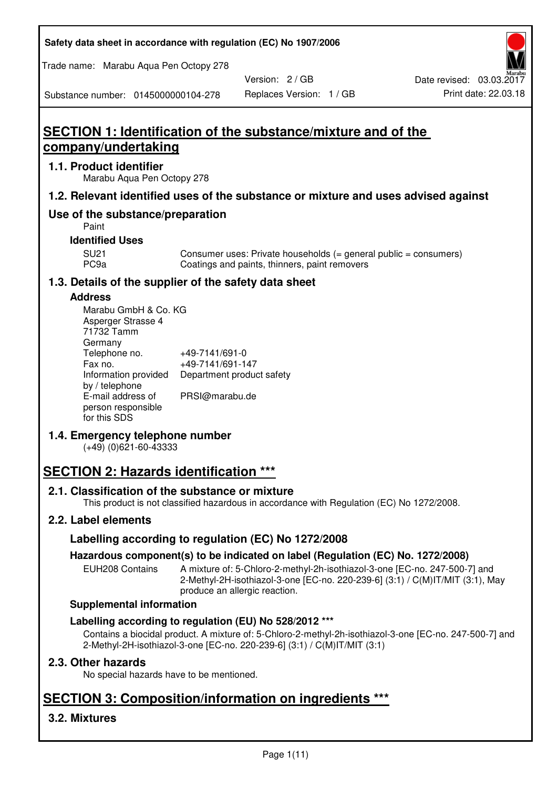**Safety data sheet in accordance with regulation (EC) No 1907/2006** 

Trade name: Marabu Aqua Pen Octopy 278

Version: 2 / GB

Substance number: 0145000000104-278

# **SECTION 1: Identification of the substance/mixture and of the company/undertaking**

## **1.1. Product identifier**

Marabu Aqua Pen Octopy 278

## **1.2. Relevant identified uses of the substance or mixture and uses advised against**

## **Use of the substance/preparation**

Paint

## **Identified Uses**

SU21 Consumer uses: Private households (= general public = consumers)<br>PC9a Coatings and paints, thinners, paint removers Coatings and paints, thinners, paint removers

## **1.3. Details of the supplier of the safety data sheet**

### **Address**

| Marabu GmbH & Co. KG |                           |
|----------------------|---------------------------|
| Asperger Strasse 4   |                           |
| 71732 Tamm           |                           |
| Germany              |                           |
| Telephone no.        | +49-7141/691-0            |
| Fax no.              | +49-7141/691-147          |
| Information provided | Department product safety |
| by / telephone       |                           |
| E-mail address of    | PRSI@marabu.de            |
| person responsible   |                           |
| for this SDS         |                           |

## **1.4. Emergency telephone number**

(+49) (0)621-60-43333

# **SECTION 2: Hazards identification \*\*\***

## **2.1. Classification of the substance or mixture**

This product is not classified hazardous in accordance with Regulation (EC) No 1272/2008.

## **2.2. Label elements**

## **Labelling according to regulation (EC) No 1272/2008**

## **Hazardous component(s) to be indicated on label (Regulation (EC) No. 1272/2008)**

EUH208 Contains A mixture of: 5-Chloro-2-methyl-2h-isothiazol-3-one [EC-no. 247-500-7] and 2-Methyl-2H-isothiazol-3-one [EC-no. 220-239-6] (3:1) / C(M)IT/MIT (3:1), May produce an allergic reaction.

#### **Supplemental information**

## **Labelling according to regulation (EU) No 528/2012 \*\*\***

Contains a biocidal product. A mixture of: 5-Chloro-2-methyl-2h-isothiazol-3-one [EC-no. 247-500-7] and 2-Methyl-2H-isothiazol-3-one [EC-no. 220-239-6] (3:1) / C(M)IT/MIT (3:1)

## **2.3. Other hazards**

No special hazards have to be mentioned.

# **SECTION 3: Composition/information on ingredients \*\*\***

## **3.2. Mixtures**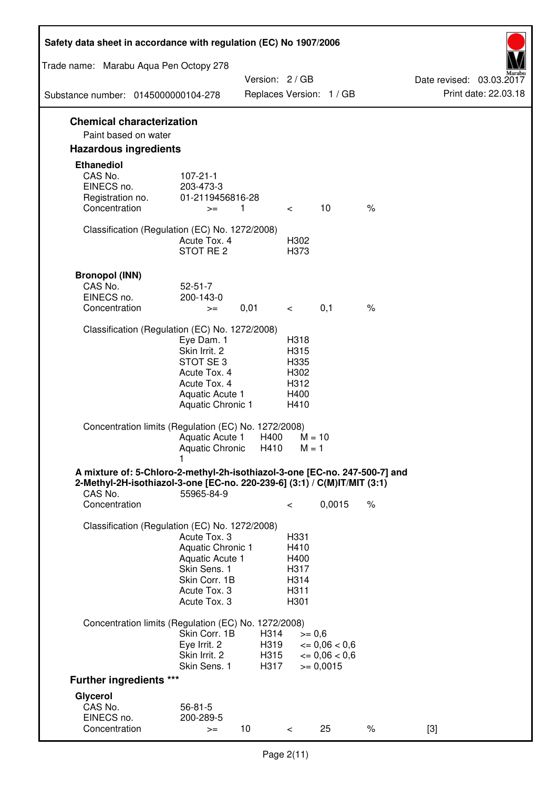| Safety data sheet in accordance with regulation (EC) No 1907/2006                                                                                                 |                                                                                                                         |                              |                                                      |                                                                  |      |                                                  |
|-------------------------------------------------------------------------------------------------------------------------------------------------------------------|-------------------------------------------------------------------------------------------------------------------------|------------------------------|------------------------------------------------------|------------------------------------------------------------------|------|--------------------------------------------------|
| Trade name: Marabu Aqua Pen Octopy 278                                                                                                                            |                                                                                                                         |                              |                                                      |                                                                  |      |                                                  |
| Substance number: 0145000000104-278                                                                                                                               |                                                                                                                         | Version: 2 / GB              |                                                      | Replaces Version: 1 / GB                                         |      | Date revised: 03.03.2017<br>Print date: 22.03.18 |
| <b>Chemical characterization</b>                                                                                                                                  |                                                                                                                         |                              |                                                      |                                                                  |      |                                                  |
| Paint based on water                                                                                                                                              |                                                                                                                         |                              |                                                      |                                                                  |      |                                                  |
| <b>Hazardous ingredients</b>                                                                                                                                      |                                                                                                                         |                              |                                                      |                                                                  |      |                                                  |
| <b>Ethanediol</b><br>CAS No.<br>EINECS no.<br>Registration no.<br>Concentration                                                                                   | $107 - 21 - 1$<br>203-473-3<br>01-2119456816-28<br>$>=$                                                                 | 1                            | $\overline{\phantom{0}}$                             | 10                                                               | $\%$ |                                                  |
| Classification (Regulation (EC) No. 1272/2008)                                                                                                                    | Acute Tox. 4<br>STOT RE 2                                                                                               |                              | H302<br>H373                                         |                                                                  |      |                                                  |
| <b>Bronopol (INN)</b><br>CAS No.<br>EINECS no.<br>Concentration                                                                                                   | $52 - 51 - 7$<br>200-143-0<br>$>=$                                                                                      | 0,01                         | $\prec$ and $\sim$                                   | 0,1                                                              | $\%$ |                                                  |
| Classification (Regulation (EC) No. 1272/2008)                                                                                                                    |                                                                                                                         |                              |                                                      |                                                                  |      |                                                  |
|                                                                                                                                                                   | Eye Dam. 1<br>Skin Irrit. 2<br>STOT SE 3<br>Acute Tox. 4<br>Acute Tox. 4<br>Aquatic Acute 1<br><b>Aquatic Chronic 1</b> |                              | H318<br>H315<br>H335<br>H302<br>H312<br>H400<br>H410 |                                                                  |      |                                                  |
| Concentration limits (Regulation (EC) No. 1272/2008)                                                                                                              | Aquatic Acute 1<br>Aquatic Chronic H410                                                                                 | H400                         | $M = 1$                                              | $M = 10$                                                         |      |                                                  |
| A mixture of: 5-Chloro-2-methyl-2h-isothiazol-3-one [EC-no. 247-500-7] and<br>2-Methyl-2H-isothiazol-3-one [EC-no. 220-239-6] (3:1) / C(M)IT/MIT (3:1)<br>CAS No. | 55965-84-9                                                                                                              |                              |                                                      |                                                                  |      |                                                  |
| Concentration                                                                                                                                                     |                                                                                                                         |                              | $\,<\,$                                              | 0,0015                                                           | $\%$ |                                                  |
| Classification (Regulation (EC) No. 1272/2008)                                                                                                                    | Acute Tox. 3<br>Aquatic Chronic 1<br>Aquatic Acute 1<br>Skin Sens. 1<br>Skin Corr. 1B<br>Acute Tox. 3<br>Acute Tox. 3   |                              | H331<br>H410<br>H400<br>H317<br>H314<br>H311<br>H301 |                                                                  |      |                                                  |
| Concentration limits (Regulation (EC) No. 1272/2008)                                                                                                              | Skin Corr. 1B<br>Eye Irrit. 2<br>Skin Irrit. 2<br>Skin Sens. 1                                                          | H314<br>H319<br>H315<br>H317 | $>= 0,6$                                             | $\epsilon = 0.06 < 0.6$<br>$\epsilon = 0.06 < 0.6$<br>$= 0,0015$ |      |                                                  |
| <b>Further ingredients ***</b>                                                                                                                                    |                                                                                                                         |                              |                                                      |                                                                  |      |                                                  |
| Glycerol<br>CAS No.<br>EINECS no.<br>Concentration                                                                                                                | $56 - 81 - 5$<br>200-289-5<br>$>=$                                                                                      | 10 <sup>°</sup>              | $\,<\,$                                              | 25                                                               | $\%$ | $[3]$                                            |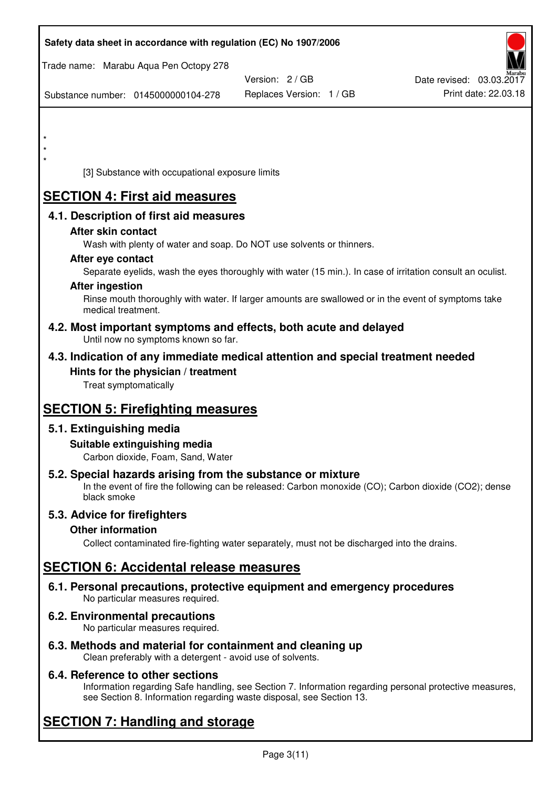| Safety data sheet in accordance with regulation (EC) No 1907/2006                                                                                                                  |                          |                          |
|------------------------------------------------------------------------------------------------------------------------------------------------------------------------------------|--------------------------|--------------------------|
| Trade name: Marabu Aqua Pen Octopy 278                                                                                                                                             |                          |                          |
|                                                                                                                                                                                    | Version: 2 / GB          | Date revised: 03.03.2017 |
| Substance number: 0145000000104-278                                                                                                                                                | Replaces Version: 1 / GB | Print date: 22.03.18     |
|                                                                                                                                                                                    |                          |                          |
|                                                                                                                                                                                    |                          |                          |
| *                                                                                                                                                                                  |                          |                          |
| [3] Substance with occupational exposure limits                                                                                                                                    |                          |                          |
| <b>SECTION 4: First aid measures</b>                                                                                                                                               |                          |                          |
| 4.1. Description of first aid measures                                                                                                                                             |                          |                          |
| After skin contact                                                                                                                                                                 |                          |                          |
| Wash with plenty of water and soap. Do NOT use solvents or thinners.                                                                                                               |                          |                          |
| After eye contact<br>Separate eyelids, wash the eyes thoroughly with water (15 min.). In case of irritation consult an oculist.                                                    |                          |                          |
| <b>After ingestion</b>                                                                                                                                                             |                          |                          |
| Rinse mouth thoroughly with water. If larger amounts are swallowed or in the event of symptoms take<br>medical treatment.                                                          |                          |                          |
| 4.2. Most important symptoms and effects, both acute and delayed<br>Until now no symptoms known so far.                                                                            |                          |                          |
| 4.3. Indication of any immediate medical attention and special treatment needed                                                                                                    |                          |                          |
| Hints for the physician / treatment                                                                                                                                                |                          |                          |
| Treat symptomatically                                                                                                                                                              |                          |                          |
| <b>SECTION 5: Firefighting measures</b>                                                                                                                                            |                          |                          |
| 5.1. Extinguishing media                                                                                                                                                           |                          |                          |
| Suitable extinguishing media<br>Carbon dioxide, Foam, Sand, Water                                                                                                                  |                          |                          |
| 5.2. Special hazards arising from the substance or mixture<br>In the event of fire the following can be released: Carbon monoxide (CO); Carbon dioxide (CO2); dense<br>black smoke |                          |                          |
| 5.3. Advice for firefighters                                                                                                                                                       |                          |                          |
| <b>Other information</b>                                                                                                                                                           |                          |                          |
| Collect contaminated fire-fighting water separately, must not be discharged into the drains.                                                                                       |                          |                          |
| <b>SECTION 6: Accidental release measures</b>                                                                                                                                      |                          |                          |
| 6.1. Personal precautions, protective equipment and emergency procedures<br>No particular measures required.                                                                       |                          |                          |
| <b>6.2. Environmental precautions</b><br>No particular measures required.                                                                                                          |                          |                          |
|                                                                                                                                                                                    |                          |                          |

**6.3. Methods and material for containment and cleaning up**  Clean preferably with a detergent - avoid use of solvents.

## **6.4. Reference to other sections**

Information regarding Safe handling, see Section 7. Information regarding personal protective measures, see Section 8. Information regarding waste disposal, see Section 13.

# **SECTION 7: Handling and storage**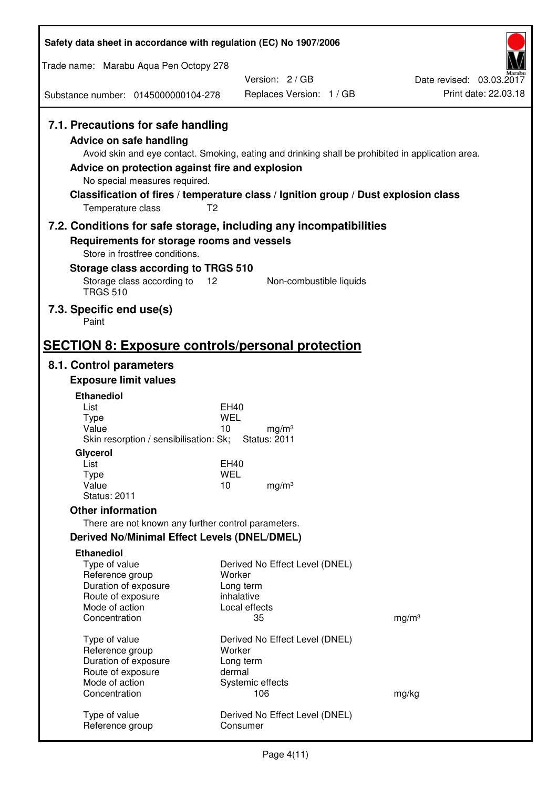| Safety data sheet in accordance with regulation (EC) No 1907/2006                                                                                                                               |                                                                                                                                                                                          |                                                  |
|-------------------------------------------------------------------------------------------------------------------------------------------------------------------------------------------------|------------------------------------------------------------------------------------------------------------------------------------------------------------------------------------------|--------------------------------------------------|
| Trade name: Marabu Aqua Pen Octopy 278                                                                                                                                                          |                                                                                                                                                                                          |                                                  |
|                                                                                                                                                                                                 | Version: 2/GB                                                                                                                                                                            | Date revised: 03.03.2017<br>Print date: 22.03.18 |
| Substance number: 0145000000104-278                                                                                                                                                             | Replaces Version: 1 / GB                                                                                                                                                                 |                                                  |
| 7.1. Precautions for safe handling<br><b>Advice on safe handling</b><br>Advice on protection against fire and explosion<br>No special measures required.<br>T <sub>2</sub><br>Temperature class | Avoid skin and eye contact. Smoking, eating and drinking shall be prohibited in application area.<br>Classification of fires / temperature class / Ignition group / Dust explosion class |                                                  |
|                                                                                                                                                                                                 | 7.2. Conditions for safe storage, including any incompatibilities                                                                                                                        |                                                  |
| Requirements for storage rooms and vessels<br>Store in frostfree conditions.                                                                                                                    |                                                                                                                                                                                          |                                                  |
| Storage class according to TRGS 510<br>Storage class according to<br>12                                                                                                                         | Non-combustible liquids                                                                                                                                                                  |                                                  |
| <b>TRGS 510</b>                                                                                                                                                                                 |                                                                                                                                                                                          |                                                  |
| 7.3. Specific end use(s)<br>Paint                                                                                                                                                               |                                                                                                                                                                                          |                                                  |
| <b>SECTION 8: Exposure controls/personal protection</b>                                                                                                                                         |                                                                                                                                                                                          |                                                  |
| 8.1. Control parameters                                                                                                                                                                         |                                                                                                                                                                                          |                                                  |
| <b>Exposure limit values</b>                                                                                                                                                                    |                                                                                                                                                                                          |                                                  |
| <b>Ethanediol</b>                                                                                                                                                                               |                                                                                                                                                                                          |                                                  |
| List<br><b>Type</b>                                                                                                                                                                             | EH40<br>WEL                                                                                                                                                                              |                                                  |
| Value<br>Skin resorption / sensibilisation: Sk;                                                                                                                                                 | 10<br>mg/m <sup>3</sup><br><b>Status: 2011</b>                                                                                                                                           |                                                  |
| Glycerol                                                                                                                                                                                        |                                                                                                                                                                                          |                                                  |
| List                                                                                                                                                                                            | <b>EH40</b>                                                                                                                                                                              |                                                  |
| <b>Type</b><br>Value                                                                                                                                                                            | <b>WEL</b><br>10<br>mg/m <sup>3</sup>                                                                                                                                                    |                                                  |
| <b>Status: 2011</b>                                                                                                                                                                             |                                                                                                                                                                                          |                                                  |
| <b>Other information</b>                                                                                                                                                                        |                                                                                                                                                                                          |                                                  |
| There are not known any further control parameters.                                                                                                                                             |                                                                                                                                                                                          |                                                  |
| <b>Derived No/Minimal Effect Levels (DNEL/DMEL)</b>                                                                                                                                             |                                                                                                                                                                                          |                                                  |
| <b>Ethanediol</b><br>Type of value<br>Reference group<br>Duration of exposure<br>Route of exposure<br>Mode of action                                                                            | Derived No Effect Level (DNEL)<br>Worker<br>Long term<br>inhalative<br>Local effects                                                                                                     |                                                  |
| Concentration                                                                                                                                                                                   | 35                                                                                                                                                                                       | mg/m <sup>3</sup>                                |
| Type of value<br>Reference group<br>Duration of exposure<br>Route of exposure                                                                                                                   | Derived No Effect Level (DNEL)<br>Worker<br>Long term<br>dermal                                                                                                                          |                                                  |
| Mode of action<br>Concentration                                                                                                                                                                 | Systemic effects<br>106                                                                                                                                                                  | mg/kg                                            |
| Type of value<br>Reference group                                                                                                                                                                | Derived No Effect Level (DNEL)<br>Consumer                                                                                                                                               |                                                  |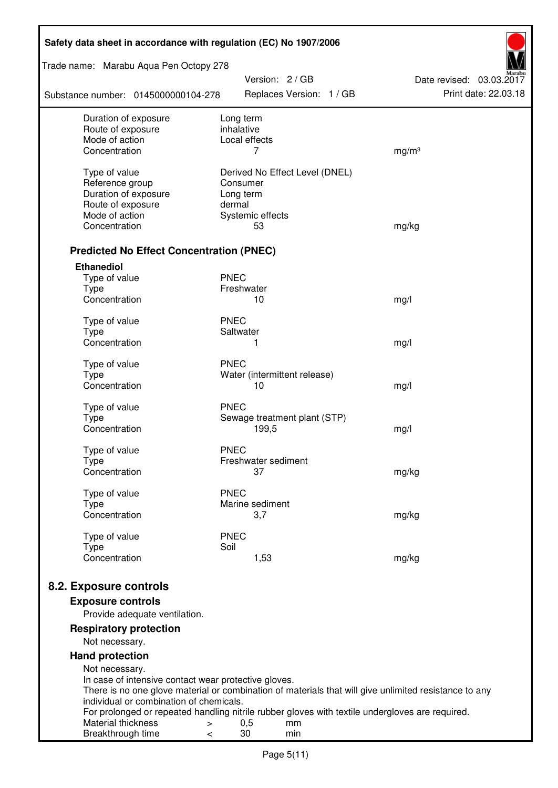| Safety data sheet in accordance with regulation (EC) No 1907/2006                                                                                |                                                                                                 |                          |  |
|--------------------------------------------------------------------------------------------------------------------------------------------------|-------------------------------------------------------------------------------------------------|--------------------------|--|
| Trade name: Marabu Aqua Pen Octopy 278                                                                                                           | Version: 2 / GB                                                                                 | Date revised: 03.03.2017 |  |
| Substance number: 0145000000104-278                                                                                                              | Replaces Version: 1 / GB                                                                        | Print date: 22.03.18     |  |
| Duration of exposure<br>Route of exposure                                                                                                        | Long term<br>inhalative                                                                         |                          |  |
| Mode of action                                                                                                                                   | Local effects                                                                                   |                          |  |
| Concentration                                                                                                                                    | 7                                                                                               | mg/m <sup>3</sup>        |  |
| Type of value                                                                                                                                    | Derived No Effect Level (DNEL)                                                                  |                          |  |
| Reference group                                                                                                                                  | Consumer                                                                                        |                          |  |
| Duration of exposure                                                                                                                             | Long term                                                                                       |                          |  |
| Route of exposure                                                                                                                                | dermal                                                                                          |                          |  |
| Mode of action                                                                                                                                   | Systemic effects                                                                                |                          |  |
| Concentration                                                                                                                                    | 53                                                                                              | mg/kg                    |  |
| <b>Predicted No Effect Concentration (PNEC)</b>                                                                                                  |                                                                                                 |                          |  |
| <b>Ethanediol</b>                                                                                                                                |                                                                                                 |                          |  |
| Type of value                                                                                                                                    | <b>PNEC</b>                                                                                     |                          |  |
| <b>Type</b><br>Concentration                                                                                                                     | Freshwater<br>10                                                                                |                          |  |
|                                                                                                                                                  |                                                                                                 | mg/l                     |  |
| Type of value                                                                                                                                    | <b>PNEC</b>                                                                                     |                          |  |
| <b>Type</b>                                                                                                                                      | Saltwater                                                                                       |                          |  |
| Concentration                                                                                                                                    | 1                                                                                               | mg/l                     |  |
| Type of value                                                                                                                                    | <b>PNEC</b>                                                                                     |                          |  |
| <b>Type</b>                                                                                                                                      | Water (intermittent release)                                                                    |                          |  |
| Concentration                                                                                                                                    | 10                                                                                              | mg/l                     |  |
| Type of value                                                                                                                                    | <b>PNEC</b>                                                                                     |                          |  |
| <b>Type</b>                                                                                                                                      | Sewage treatment plant (STP)                                                                    |                          |  |
| Concentration                                                                                                                                    | 199,5                                                                                           | mg/l                     |  |
| Type of value                                                                                                                                    | <b>PNEC</b>                                                                                     |                          |  |
| Type                                                                                                                                             | Freshwater sediment                                                                             |                          |  |
| Concentration                                                                                                                                    | 37                                                                                              | mg/kg                    |  |
| Type of value                                                                                                                                    | <b>PNEC</b>                                                                                     |                          |  |
| Type                                                                                                                                             | Marine sediment                                                                                 |                          |  |
| Concentration                                                                                                                                    | 3,7                                                                                             | mg/kg                    |  |
| Type of value                                                                                                                                    | <b>PNEC</b>                                                                                     |                          |  |
| <b>Type</b><br>Concentration                                                                                                                     | Soil<br>1,53                                                                                    | mg/kg                    |  |
| 8.2. Exposure controls                                                                                                                           |                                                                                                 |                          |  |
|                                                                                                                                                  |                                                                                                 |                          |  |
| <b>Exposure controls</b><br>Provide adequate ventilation.                                                                                        |                                                                                                 |                          |  |
| <b>Respiratory protection</b>                                                                                                                    |                                                                                                 |                          |  |
| Not necessary.                                                                                                                                   |                                                                                                 |                          |  |
| <b>Hand protection</b>                                                                                                                           |                                                                                                 |                          |  |
| Not necessary.                                                                                                                                   |                                                                                                 |                          |  |
| In case of intensive contact wear protective gloves.                                                                                             |                                                                                                 |                          |  |
| There is no one glove material or combination of materials that will give unlimited resistance to any<br>individual or combination of chemicals. |                                                                                                 |                          |  |
|                                                                                                                                                  | For prolonged or repeated handling nitrile rubber gloves with textile undergloves are required. |                          |  |
| Material thickness<br>$\, > \,$                                                                                                                  | 0,5<br>mm                                                                                       |                          |  |
| Breakthrough time<br>$\,<\,$                                                                                                                     | 30<br>min                                                                                       |                          |  |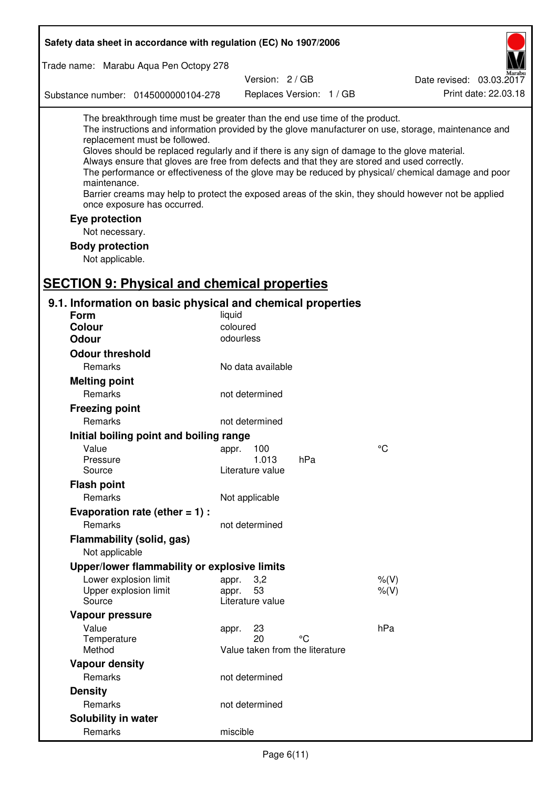| Safety data sheet in accordance with regulation (EC) No 1907/2006                                                                                                                                                                                                                                                                                                                                                                                                                      |                                 |                          |                                                                                                                                                                                                            |
|----------------------------------------------------------------------------------------------------------------------------------------------------------------------------------------------------------------------------------------------------------------------------------------------------------------------------------------------------------------------------------------------------------------------------------------------------------------------------------------|---------------------------------|--------------------------|------------------------------------------------------------------------------------------------------------------------------------------------------------------------------------------------------------|
| Trade name: Marabu Aqua Pen Octopy 278                                                                                                                                                                                                                                                                                                                                                                                                                                                 |                                 |                          |                                                                                                                                                                                                            |
|                                                                                                                                                                                                                                                                                                                                                                                                                                                                                        | Version: 2 / GB                 |                          | Date revised: 03.03.2017                                                                                                                                                                                   |
| Substance number: 0145000000104-278                                                                                                                                                                                                                                                                                                                                                                                                                                                    |                                 | Replaces Version: 1 / GB | Print date: 22.03.18                                                                                                                                                                                       |
| The breakthrough time must be greater than the end use time of the product.<br>replacement must be followed.<br>Gloves should be replaced regularly and if there is any sign of damage to the glove material.<br>Always ensure that gloves are free from defects and that they are stored and used correctly.<br>maintenance.<br>Barrier creams may help to protect the exposed areas of the skin, they should however not be applied<br>once exposure has occurred.<br>Eye protection |                                 |                          | The instructions and information provided by the glove manufacturer on use, storage, maintenance and<br>The performance or effectiveness of the glove may be reduced by physical/ chemical damage and poor |
| Not necessary.                                                                                                                                                                                                                                                                                                                                                                                                                                                                         |                                 |                          |                                                                                                                                                                                                            |
| <b>Body protection</b>                                                                                                                                                                                                                                                                                                                                                                                                                                                                 |                                 |                          |                                                                                                                                                                                                            |
| Not applicable.                                                                                                                                                                                                                                                                                                                                                                                                                                                                        |                                 |                          |                                                                                                                                                                                                            |
| <b>SECTION 9: Physical and chemical properties</b>                                                                                                                                                                                                                                                                                                                                                                                                                                     |                                 |                          |                                                                                                                                                                                                            |
| 9.1. Information on basic physical and chemical properties                                                                                                                                                                                                                                                                                                                                                                                                                             |                                 |                          |                                                                                                                                                                                                            |
| <b>Form</b>                                                                                                                                                                                                                                                                                                                                                                                                                                                                            | liquid                          |                          |                                                                                                                                                                                                            |
| <b>Colour</b>                                                                                                                                                                                                                                                                                                                                                                                                                                                                          | coloured                        |                          |                                                                                                                                                                                                            |
| <b>Odour</b>                                                                                                                                                                                                                                                                                                                                                                                                                                                                           | odourless                       |                          |                                                                                                                                                                                                            |
| <b>Odour threshold</b>                                                                                                                                                                                                                                                                                                                                                                                                                                                                 |                                 |                          |                                                                                                                                                                                                            |
| Remarks                                                                                                                                                                                                                                                                                                                                                                                                                                                                                | No data available               |                          |                                                                                                                                                                                                            |
| <b>Melting point</b>                                                                                                                                                                                                                                                                                                                                                                                                                                                                   |                                 |                          |                                                                                                                                                                                                            |
| Remarks                                                                                                                                                                                                                                                                                                                                                                                                                                                                                | not determined                  |                          |                                                                                                                                                                                                            |
| <b>Freezing point</b>                                                                                                                                                                                                                                                                                                                                                                                                                                                                  |                                 |                          |                                                                                                                                                                                                            |
| Remarks                                                                                                                                                                                                                                                                                                                                                                                                                                                                                | not determined                  |                          |                                                                                                                                                                                                            |
| Initial boiling point and boiling range                                                                                                                                                                                                                                                                                                                                                                                                                                                |                                 |                          |                                                                                                                                                                                                            |
| Value                                                                                                                                                                                                                                                                                                                                                                                                                                                                                  | appr. 100                       |                          | $^{\circ}C$                                                                                                                                                                                                |
| Pressure                                                                                                                                                                                                                                                                                                                                                                                                                                                                               | 1.013                           | hPa                      |                                                                                                                                                                                                            |
| Source                                                                                                                                                                                                                                                                                                                                                                                                                                                                                 | Literature value                |                          |                                                                                                                                                                                                            |
| <b>Flash point</b>                                                                                                                                                                                                                                                                                                                                                                                                                                                                     |                                 |                          |                                                                                                                                                                                                            |
| Remarks                                                                                                                                                                                                                                                                                                                                                                                                                                                                                | Not applicable                  |                          |                                                                                                                                                                                                            |
| Evaporation rate (ether $= 1$ ) :                                                                                                                                                                                                                                                                                                                                                                                                                                                      |                                 |                          |                                                                                                                                                                                                            |
| Remarks                                                                                                                                                                                                                                                                                                                                                                                                                                                                                | not determined                  |                          |                                                                                                                                                                                                            |
| Flammability (solid, gas)                                                                                                                                                                                                                                                                                                                                                                                                                                                              |                                 |                          |                                                                                                                                                                                                            |
| Not applicable                                                                                                                                                                                                                                                                                                                                                                                                                                                                         |                                 |                          |                                                                                                                                                                                                            |
| Upper/lower flammability or explosive limits                                                                                                                                                                                                                                                                                                                                                                                                                                           |                                 |                          |                                                                                                                                                                                                            |
| Lower explosion limit<br>Upper explosion limit                                                                                                                                                                                                                                                                                                                                                                                                                                         | 3,2<br>appr.<br>53<br>appr.     |                          | $%$ (V)<br>$%$ (V)                                                                                                                                                                                         |
| Source                                                                                                                                                                                                                                                                                                                                                                                                                                                                                 | Literature value                |                          |                                                                                                                                                                                                            |
| Vapour pressure                                                                                                                                                                                                                                                                                                                                                                                                                                                                        |                                 |                          |                                                                                                                                                                                                            |
| Value                                                                                                                                                                                                                                                                                                                                                                                                                                                                                  | 23<br>appr.                     |                          | hPa                                                                                                                                                                                                        |
| Temperature                                                                                                                                                                                                                                                                                                                                                                                                                                                                            | 20                              | °C                       |                                                                                                                                                                                                            |
| Method                                                                                                                                                                                                                                                                                                                                                                                                                                                                                 | Value taken from the literature |                          |                                                                                                                                                                                                            |
| <b>Vapour density</b>                                                                                                                                                                                                                                                                                                                                                                                                                                                                  |                                 |                          |                                                                                                                                                                                                            |
| Remarks                                                                                                                                                                                                                                                                                                                                                                                                                                                                                | not determined                  |                          |                                                                                                                                                                                                            |
| <b>Density</b>                                                                                                                                                                                                                                                                                                                                                                                                                                                                         |                                 |                          |                                                                                                                                                                                                            |
| Remarks                                                                                                                                                                                                                                                                                                                                                                                                                                                                                | not determined                  |                          |                                                                                                                                                                                                            |
| Solubility in water                                                                                                                                                                                                                                                                                                                                                                                                                                                                    |                                 |                          |                                                                                                                                                                                                            |
| Remarks                                                                                                                                                                                                                                                                                                                                                                                                                                                                                | miscible                        |                          |                                                                                                                                                                                                            |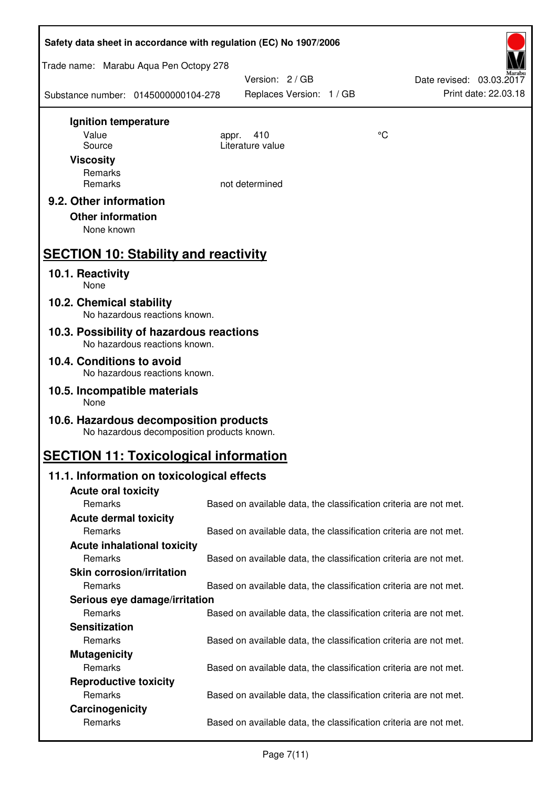| Safety data sheet in accordance with regulation (EC) No 1907/2006                          |                                                                   |    |                                                  |  |
|--------------------------------------------------------------------------------------------|-------------------------------------------------------------------|----|--------------------------------------------------|--|
| Trade name: Marabu Aqua Pen Octopy 278                                                     |                                                                   |    |                                                  |  |
| Substance number: 0145000000104-278                                                        | Version: 2 / GB<br>Replaces Version: 1 / GB                       |    | Date revised: 03.03.2017<br>Print date: 22.03.18 |  |
| Ignition temperature                                                                       |                                                                   |    |                                                  |  |
| Value                                                                                      | 410<br>appr.<br>Literature value                                  | °C |                                                  |  |
| Source<br><b>Viscosity</b>                                                                 |                                                                   |    |                                                  |  |
| Remarks                                                                                    |                                                                   |    |                                                  |  |
| Remarks                                                                                    | not determined                                                    |    |                                                  |  |
| 9.2. Other information                                                                     |                                                                   |    |                                                  |  |
| <b>Other information</b>                                                                   |                                                                   |    |                                                  |  |
| None known                                                                                 |                                                                   |    |                                                  |  |
| <b>SECTION 10: Stability and reactivity</b>                                                |                                                                   |    |                                                  |  |
| 10.1. Reactivity<br>None                                                                   |                                                                   |    |                                                  |  |
| 10.2. Chemical stability<br>No hazardous reactions known.                                  |                                                                   |    |                                                  |  |
| 10.3. Possibility of hazardous reactions<br>No hazardous reactions known.                  |                                                                   |    |                                                  |  |
| 10.4. Conditions to avoid<br>No hazardous reactions known.                                 |                                                                   |    |                                                  |  |
| 10.5. Incompatible materials<br>None                                                       |                                                                   |    |                                                  |  |
| 10.6. Hazardous decomposition products                                                     |                                                                   |    |                                                  |  |
| No hazardous decomposition products known.<br><b>SECTION 11: Toxicological information</b> |                                                                   |    |                                                  |  |
| 11.1. Information on toxicological effects                                                 |                                                                   |    |                                                  |  |
| <b>Acute oral toxicity</b>                                                                 |                                                                   |    |                                                  |  |
| Remarks                                                                                    | Based on available data, the classification criteria are not met. |    |                                                  |  |
| <b>Acute dermal toxicity</b>                                                               |                                                                   |    |                                                  |  |
| Remarks                                                                                    | Based on available data, the classification criteria are not met. |    |                                                  |  |
| <b>Acute inhalational toxicity</b>                                                         |                                                                   |    |                                                  |  |
| Remarks                                                                                    | Based on available data, the classification criteria are not met. |    |                                                  |  |
| <b>Skin corrosion/irritation</b><br>Remarks                                                |                                                                   |    |                                                  |  |
| Serious eye damage/irritation                                                              | Based on available data, the classification criteria are not met. |    |                                                  |  |
| Remarks                                                                                    | Based on available data, the classification criteria are not met. |    |                                                  |  |
| <b>Sensitization</b>                                                                       |                                                                   |    |                                                  |  |
| Remarks                                                                                    | Based on available data, the classification criteria are not met. |    |                                                  |  |
| <b>Mutagenicity</b>                                                                        |                                                                   |    |                                                  |  |
| Remarks                                                                                    | Based on available data, the classification criteria are not met. |    |                                                  |  |
| <b>Reproductive toxicity</b>                                                               |                                                                   |    |                                                  |  |
| Remarks                                                                                    | Based on available data, the classification criteria are not met. |    |                                                  |  |
| Carcinogenicity                                                                            |                                                                   |    |                                                  |  |
| Remarks                                                                                    | Based on available data, the classification criteria are not met. |    |                                                  |  |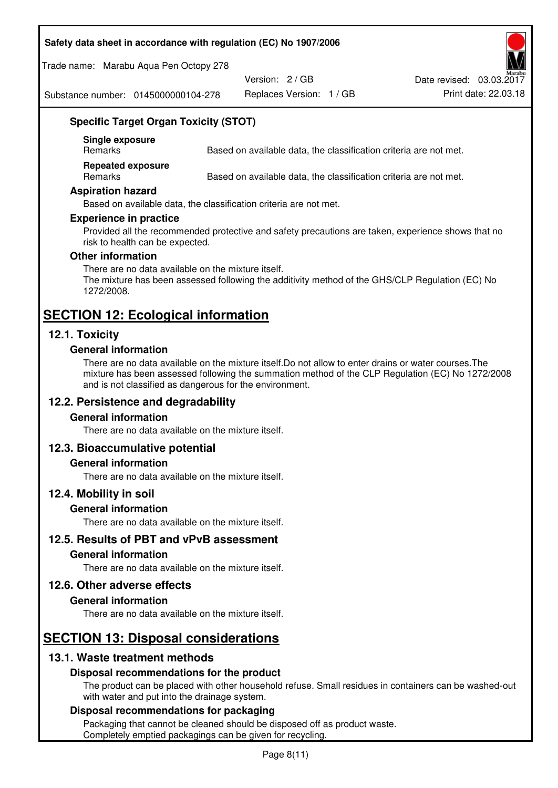#### **Safety data sheet in accordance with regulation (EC) No 1907/2006**

Trade name: Marabu Aqua Pen Octopy 278

Version: 2 / GB

Replaces Version: 1 / GB Print date: 22.03.18 Date revised: 03.03.2017

Substance number: 0145000000104-278

## **Specific Target Organ Toxicity (STOT)**

**Single exposure** 

Based on available data, the classification criteria are not met.

**Repeated exposure** 

Remarks Based on available data, the classification criteria are not met.

#### **Aspiration hazard**

Based on available data, the classification criteria are not met.

#### **Experience in practice**

Provided all the recommended protective and safety precautions are taken, experience shows that no risk to health can be expected.

#### **Other information**

There are no data available on the mixture itself. The mixture has been assessed following the additivity method of the GHS/CLP Regulation (EC) No 1272/2008.

# **SECTION 12: Ecological information**

## **12.1. Toxicity**

#### **General information**

There are no data available on the mixture itself.Do not allow to enter drains or water courses.The mixture has been assessed following the summation method of the CLP Regulation (EC) No 1272/2008 and is not classified as dangerous for the environment.

#### **12.2. Persistence and degradability**

#### **General information**

There are no data available on the mixture itself.

#### **12.3. Bioaccumulative potential**

#### **General information**

There are no data available on the mixture itself.

#### **12.4. Mobility in soil**

#### **General information**

There are no data available on the mixture itself.

**12.5. Results of PBT and vPvB assessment** 

#### **General information**

There are no data available on the mixture itself.

#### **12.6. Other adverse effects**

#### **General information**

There are no data available on the mixture itself.

## **SECTION 13: Disposal considerations**

## **13.1. Waste treatment methods**

#### **Disposal recommendations for the product**

The product can be placed with other household refuse. Small residues in containers can be washed-out with water and put into the drainage system.

#### **Disposal recommendations for packaging**

Packaging that cannot be cleaned should be disposed off as product waste. Completely emptied packagings can be given for recycling.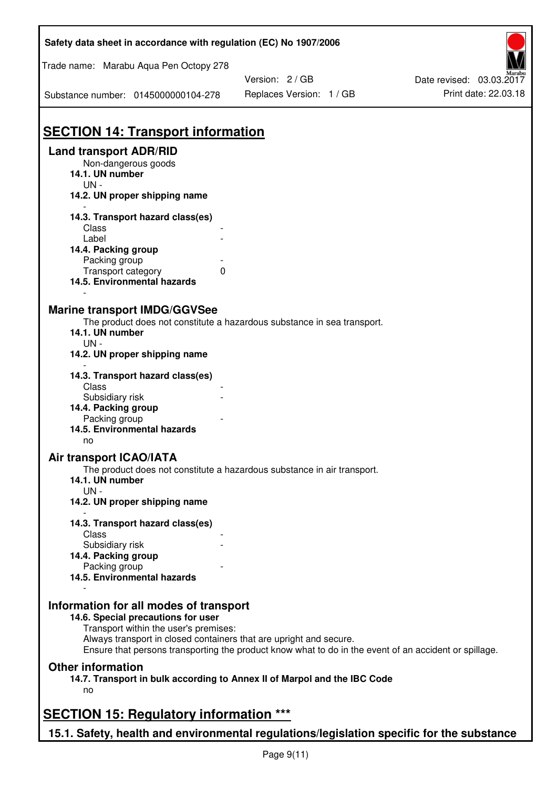| Trade name: Marabu Aqua Pen Octopy 278<br>Version: 2 / GB<br>Date revised: 03.03.2017<br>Print date: 22.03.18<br>Replaces Version: 1 / GB<br>Substance number: 0145000000104-278<br><b>SECTION 14: Transport information</b><br><b>Land transport ADR/RID</b><br>Non-dangerous goods<br>14.1. UN number<br>$UN -$<br>14.2. UN proper shipping name<br>14.3. Transport hazard class(es)<br>Class<br>Label<br>14.4. Packing group<br>Packing group<br>Transport category<br>0<br>14.5. Environmental hazards<br><b>Marine transport IMDG/GGVSee</b><br>The product does not constitute a hazardous substance in sea transport.<br>14.1. UN number<br>UN-<br>14.2. UN proper shipping name<br>14.3. Transport hazard class(es)<br>Class<br>Subsidiary risk<br>14.4. Packing group<br>Packing group<br>14.5. Environmental hazards<br>no<br><b>Air transport ICAO/IATA</b><br>The product does not constitute a hazardous substance in air transport.<br>14.1. UN number<br>$UN -$<br>14.2. UN proper shipping name<br>14.3. Transport hazard class(es)<br>Class<br>Subsidiary risk<br>14.4. Packing group<br>Packing group<br>14.5. Environmental hazards |  |  |  |
|--------------------------------------------------------------------------------------------------------------------------------------------------------------------------------------------------------------------------------------------------------------------------------------------------------------------------------------------------------------------------------------------------------------------------------------------------------------------------------------------------------------------------------------------------------------------------------------------------------------------------------------------------------------------------------------------------------------------------------------------------------------------------------------------------------------------------------------------------------------------------------------------------------------------------------------------------------------------------------------------------------------------------------------------------------------------------------------------------------------------------------------------------------|--|--|--|
|                                                                                                                                                                                                                                                                                                                                                                                                                                                                                                                                                                                                                                                                                                                                                                                                                                                                                                                                                                                                                                                                                                                                                        |  |  |  |
|                                                                                                                                                                                                                                                                                                                                                                                                                                                                                                                                                                                                                                                                                                                                                                                                                                                                                                                                                                                                                                                                                                                                                        |  |  |  |
|                                                                                                                                                                                                                                                                                                                                                                                                                                                                                                                                                                                                                                                                                                                                                                                                                                                                                                                                                                                                                                                                                                                                                        |  |  |  |
|                                                                                                                                                                                                                                                                                                                                                                                                                                                                                                                                                                                                                                                                                                                                                                                                                                                                                                                                                                                                                                                                                                                                                        |  |  |  |
|                                                                                                                                                                                                                                                                                                                                                                                                                                                                                                                                                                                                                                                                                                                                                                                                                                                                                                                                                                                                                                                                                                                                                        |  |  |  |
|                                                                                                                                                                                                                                                                                                                                                                                                                                                                                                                                                                                                                                                                                                                                                                                                                                                                                                                                                                                                                                                                                                                                                        |  |  |  |
|                                                                                                                                                                                                                                                                                                                                                                                                                                                                                                                                                                                                                                                                                                                                                                                                                                                                                                                                                                                                                                                                                                                                                        |  |  |  |
|                                                                                                                                                                                                                                                                                                                                                                                                                                                                                                                                                                                                                                                                                                                                                                                                                                                                                                                                                                                                                                                                                                                                                        |  |  |  |
|                                                                                                                                                                                                                                                                                                                                                                                                                                                                                                                                                                                                                                                                                                                                                                                                                                                                                                                                                                                                                                                                                                                                                        |  |  |  |
|                                                                                                                                                                                                                                                                                                                                                                                                                                                                                                                                                                                                                                                                                                                                                                                                                                                                                                                                                                                                                                                                                                                                                        |  |  |  |
|                                                                                                                                                                                                                                                                                                                                                                                                                                                                                                                                                                                                                                                                                                                                                                                                                                                                                                                                                                                                                                                                                                                                                        |  |  |  |
|                                                                                                                                                                                                                                                                                                                                                                                                                                                                                                                                                                                                                                                                                                                                                                                                                                                                                                                                                                                                                                                                                                                                                        |  |  |  |
|                                                                                                                                                                                                                                                                                                                                                                                                                                                                                                                                                                                                                                                                                                                                                                                                                                                                                                                                                                                                                                                                                                                                                        |  |  |  |
|                                                                                                                                                                                                                                                                                                                                                                                                                                                                                                                                                                                                                                                                                                                                                                                                                                                                                                                                                                                                                                                                                                                                                        |  |  |  |
|                                                                                                                                                                                                                                                                                                                                                                                                                                                                                                                                                                                                                                                                                                                                                                                                                                                                                                                                                                                                                                                                                                                                                        |  |  |  |
|                                                                                                                                                                                                                                                                                                                                                                                                                                                                                                                                                                                                                                                                                                                                                                                                                                                                                                                                                                                                                                                                                                                                                        |  |  |  |
|                                                                                                                                                                                                                                                                                                                                                                                                                                                                                                                                                                                                                                                                                                                                                                                                                                                                                                                                                                                                                                                                                                                                                        |  |  |  |
|                                                                                                                                                                                                                                                                                                                                                                                                                                                                                                                                                                                                                                                                                                                                                                                                                                                                                                                                                                                                                                                                                                                                                        |  |  |  |
|                                                                                                                                                                                                                                                                                                                                                                                                                                                                                                                                                                                                                                                                                                                                                                                                                                                                                                                                                                                                                                                                                                                                                        |  |  |  |
|                                                                                                                                                                                                                                                                                                                                                                                                                                                                                                                                                                                                                                                                                                                                                                                                                                                                                                                                                                                                                                                                                                                                                        |  |  |  |
|                                                                                                                                                                                                                                                                                                                                                                                                                                                                                                                                                                                                                                                                                                                                                                                                                                                                                                                                                                                                                                                                                                                                                        |  |  |  |
|                                                                                                                                                                                                                                                                                                                                                                                                                                                                                                                                                                                                                                                                                                                                                                                                                                                                                                                                                                                                                                                                                                                                                        |  |  |  |
|                                                                                                                                                                                                                                                                                                                                                                                                                                                                                                                                                                                                                                                                                                                                                                                                                                                                                                                                                                                                                                                                                                                                                        |  |  |  |
|                                                                                                                                                                                                                                                                                                                                                                                                                                                                                                                                                                                                                                                                                                                                                                                                                                                                                                                                                                                                                                                                                                                                                        |  |  |  |
|                                                                                                                                                                                                                                                                                                                                                                                                                                                                                                                                                                                                                                                                                                                                                                                                                                                                                                                                                                                                                                                                                                                                                        |  |  |  |
|                                                                                                                                                                                                                                                                                                                                                                                                                                                                                                                                                                                                                                                                                                                                                                                                                                                                                                                                                                                                                                                                                                                                                        |  |  |  |
| Information for all modes of transport<br>14.6. Special precautions for user                                                                                                                                                                                                                                                                                                                                                                                                                                                                                                                                                                                                                                                                                                                                                                                                                                                                                                                                                                                                                                                                           |  |  |  |
| Transport within the user's premises:                                                                                                                                                                                                                                                                                                                                                                                                                                                                                                                                                                                                                                                                                                                                                                                                                                                                                                                                                                                                                                                                                                                  |  |  |  |
| Always transport in closed containers that are upright and secure.<br>Ensure that persons transporting the product know what to do in the event of an accident or spillage.                                                                                                                                                                                                                                                                                                                                                                                                                                                                                                                                                                                                                                                                                                                                                                                                                                                                                                                                                                            |  |  |  |
| <b>Other information</b>                                                                                                                                                                                                                                                                                                                                                                                                                                                                                                                                                                                                                                                                                                                                                                                                                                                                                                                                                                                                                                                                                                                               |  |  |  |
| 14.7. Transport in bulk according to Annex II of Marpol and the IBC Code<br>no                                                                                                                                                                                                                                                                                                                                                                                                                                                                                                                                                                                                                                                                                                                                                                                                                                                                                                                                                                                                                                                                         |  |  |  |
| <b>SECTION 15: Regulatory information ***</b>                                                                                                                                                                                                                                                                                                                                                                                                                                                                                                                                                                                                                                                                                                                                                                                                                                                                                                                                                                                                                                                                                                          |  |  |  |
| 15.1. Safety, health and environmental regulations/legislation specific for the substance                                                                                                                                                                                                                                                                                                                                                                                                                                                                                                                                                                                                                                                                                                                                                                                                                                                                                                                                                                                                                                                              |  |  |  |

Ī

٦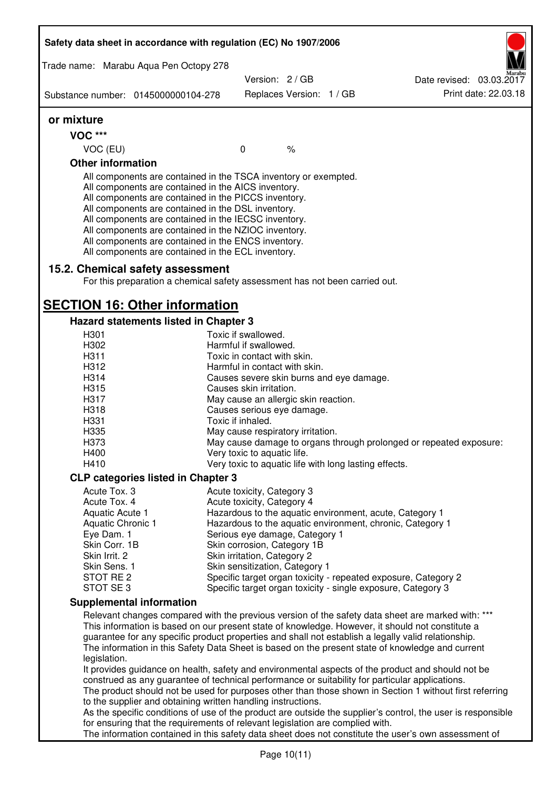|                                                                                                                                                                         | Safety data sheet in accordance with regulation (EC) No 1907/2006                                                                                                                                                                                                                                                                                                                                                                                                 |                                                                     |                          |  |                                                                                                                                                                                                         |
|-------------------------------------------------------------------------------------------------------------------------------------------------------------------------|-------------------------------------------------------------------------------------------------------------------------------------------------------------------------------------------------------------------------------------------------------------------------------------------------------------------------------------------------------------------------------------------------------------------------------------------------------------------|---------------------------------------------------------------------|--------------------------|--|---------------------------------------------------------------------------------------------------------------------------------------------------------------------------------------------------------|
| Trade name: Marabu Aqua Pen Octopy 278                                                                                                                                  |                                                                                                                                                                                                                                                                                                                                                                                                                                                                   |                                                                     |                          |  |                                                                                                                                                                                                         |
|                                                                                                                                                                         |                                                                                                                                                                                                                                                                                                                                                                                                                                                                   | Version: 2 / GB                                                     |                          |  | Date revised: 03.03.2017                                                                                                                                                                                |
| Substance number: 0145000000104-278                                                                                                                                     |                                                                                                                                                                                                                                                                                                                                                                                                                                                                   |                                                                     | Replaces Version: 1 / GB |  | Print date: 22.03.18                                                                                                                                                                                    |
| or mixture                                                                                                                                                              |                                                                                                                                                                                                                                                                                                                                                                                                                                                                   |                                                                     |                          |  |                                                                                                                                                                                                         |
| <b>VOC ***</b>                                                                                                                                                          |                                                                                                                                                                                                                                                                                                                                                                                                                                                                   |                                                                     |                          |  |                                                                                                                                                                                                         |
| VOC (EU)                                                                                                                                                                |                                                                                                                                                                                                                                                                                                                                                                                                                                                                   | $\mathbf 0$                                                         | $\%$                     |  |                                                                                                                                                                                                         |
| <b>Other information</b>                                                                                                                                                |                                                                                                                                                                                                                                                                                                                                                                                                                                                                   |                                                                     |                          |  |                                                                                                                                                                                                         |
|                                                                                                                                                                         | All components are contained in the TSCA inventory or exempted.<br>All components are contained in the AICS inventory.<br>All components are contained in the PICCS inventory.<br>All components are contained in the DSL inventory.<br>All components are contained in the IECSC inventory.<br>All components are contained in the NZIOC inventory.<br>All components are contained in the ENCS inventory.<br>All components are contained in the ECL inventory. |                                                                     |                          |  |                                                                                                                                                                                                         |
|                                                                                                                                                                         | 15.2. Chemical safety assessment<br>For this preparation a chemical safety assessment has not been carried out.                                                                                                                                                                                                                                                                                                                                                   |                                                                     |                          |  |                                                                                                                                                                                                         |
|                                                                                                                                                                         | <b>SECTION 16: Other information</b>                                                                                                                                                                                                                                                                                                                                                                                                                              |                                                                     |                          |  |                                                                                                                                                                                                         |
|                                                                                                                                                                         | Hazard statements listed in Chapter 3                                                                                                                                                                                                                                                                                                                                                                                                                             |                                                                     |                          |  |                                                                                                                                                                                                         |
| H301                                                                                                                                                                    |                                                                                                                                                                                                                                                                                                                                                                                                                                                                   | Toxic if swallowed.                                                 |                          |  |                                                                                                                                                                                                         |
| H302                                                                                                                                                                    |                                                                                                                                                                                                                                                                                                                                                                                                                                                                   | Harmful if swallowed.                                               |                          |  |                                                                                                                                                                                                         |
| H311<br>H312                                                                                                                                                            |                                                                                                                                                                                                                                                                                                                                                                                                                                                                   | Toxic in contact with skin.<br>Harmful in contact with skin.        |                          |  |                                                                                                                                                                                                         |
| H314                                                                                                                                                                    |                                                                                                                                                                                                                                                                                                                                                                                                                                                                   |                                                                     |                          |  |                                                                                                                                                                                                         |
| H315                                                                                                                                                                    |                                                                                                                                                                                                                                                                                                                                                                                                                                                                   | Causes severe skin burns and eye damage.<br>Causes skin irritation. |                          |  |                                                                                                                                                                                                         |
| H317                                                                                                                                                                    |                                                                                                                                                                                                                                                                                                                                                                                                                                                                   | May cause an allergic skin reaction.                                |                          |  |                                                                                                                                                                                                         |
| H318                                                                                                                                                                    |                                                                                                                                                                                                                                                                                                                                                                                                                                                                   | Causes serious eye damage.                                          |                          |  |                                                                                                                                                                                                         |
| H331                                                                                                                                                                    |                                                                                                                                                                                                                                                                                                                                                                                                                                                                   | Toxic if inhaled.                                                   |                          |  |                                                                                                                                                                                                         |
| H335                                                                                                                                                                    |                                                                                                                                                                                                                                                                                                                                                                                                                                                                   | May cause respiratory irritation.                                   |                          |  |                                                                                                                                                                                                         |
| H373                                                                                                                                                                    |                                                                                                                                                                                                                                                                                                                                                                                                                                                                   |                                                                     |                          |  | May cause damage to organs through prolonged or repeated exposure:                                                                                                                                      |
| H400                                                                                                                                                                    |                                                                                                                                                                                                                                                                                                                                                                                                                                                                   | Very toxic to aquatic life.                                         |                          |  |                                                                                                                                                                                                         |
| H410                                                                                                                                                                    |                                                                                                                                                                                                                                                                                                                                                                                                                                                                   | Very toxic to aquatic life with long lasting effects.               |                          |  |                                                                                                                                                                                                         |
|                                                                                                                                                                         | <b>CLP categories listed in Chapter 3</b>                                                                                                                                                                                                                                                                                                                                                                                                                         |                                                                     |                          |  |                                                                                                                                                                                                         |
| Acute Tox. 3                                                                                                                                                            |                                                                                                                                                                                                                                                                                                                                                                                                                                                                   | Acute toxicity, Category 3                                          |                          |  |                                                                                                                                                                                                         |
| Acute Tox. 4                                                                                                                                                            |                                                                                                                                                                                                                                                                                                                                                                                                                                                                   | Acute toxicity, Category 4                                          |                          |  |                                                                                                                                                                                                         |
| Aquatic Acute 1                                                                                                                                                         |                                                                                                                                                                                                                                                                                                                                                                                                                                                                   |                                                                     |                          |  | Hazardous to the aquatic environment, acute, Category 1                                                                                                                                                 |
| Aquatic Chronic 1                                                                                                                                                       |                                                                                                                                                                                                                                                                                                                                                                                                                                                                   |                                                                     |                          |  | Hazardous to the aquatic environment, chronic, Category 1                                                                                                                                               |
| Eye Dam. 1                                                                                                                                                              |                                                                                                                                                                                                                                                                                                                                                                                                                                                                   | Serious eye damage, Category 1                                      |                          |  |                                                                                                                                                                                                         |
| Skin Corr. 1B                                                                                                                                                           |                                                                                                                                                                                                                                                                                                                                                                                                                                                                   | Skin corrosion, Category 1B                                         |                          |  |                                                                                                                                                                                                         |
| Skin Irrit. 2                                                                                                                                                           |                                                                                                                                                                                                                                                                                                                                                                                                                                                                   | Skin irritation, Category 2                                         |                          |  |                                                                                                                                                                                                         |
| Skin Sens. 1<br>STOT RE 2                                                                                                                                               |                                                                                                                                                                                                                                                                                                                                                                                                                                                                   | Skin sensitization, Category 1                                      |                          |  |                                                                                                                                                                                                         |
| STOT SE3                                                                                                                                                                |                                                                                                                                                                                                                                                                                                                                                                                                                                                                   |                                                                     |                          |  | Specific target organ toxicity - repeated exposure, Category 2<br>Specific target organ toxicity - single exposure, Category 3                                                                          |
| <b>Supplemental information</b>                                                                                                                                         |                                                                                                                                                                                                                                                                                                                                                                                                                                                                   |                                                                     |                          |  |                                                                                                                                                                                                         |
|                                                                                                                                                                         |                                                                                                                                                                                                                                                                                                                                                                                                                                                                   |                                                                     |                          |  | Relevant changes compared with the previous version of the safety data sheet are marked with: ***                                                                                                       |
|                                                                                                                                                                         |                                                                                                                                                                                                                                                                                                                                                                                                                                                                   |                                                                     |                          |  | This information is based on our present state of knowledge. However, it should not constitute a                                                                                                        |
|                                                                                                                                                                         |                                                                                                                                                                                                                                                                                                                                                                                                                                                                   |                                                                     |                          |  | guarantee for any specific product properties and shall not establish a legally valid relationship.<br>The information in this Safety Data Sheet is based on the present state of knowledge and current |
| legislation.                                                                                                                                                            |                                                                                                                                                                                                                                                                                                                                                                                                                                                                   |                                                                     |                          |  |                                                                                                                                                                                                         |
|                                                                                                                                                                         | construed as any guarantee of technical performance or suitability for particular applications.                                                                                                                                                                                                                                                                                                                                                                   |                                                                     |                          |  | It provides guidance on health, safety and environmental aspects of the product and should not be                                                                                                       |
|                                                                                                                                                                         |                                                                                                                                                                                                                                                                                                                                                                                                                                                                   |                                                                     |                          |  |                                                                                                                                                                                                         |
| The product should not be used for purposes other than those shown in Section 1 without first referring<br>to the supplier and obtaining written handling instructions. |                                                                                                                                                                                                                                                                                                                                                                                                                                                                   |                                                                     |                          |  |                                                                                                                                                                                                         |
| As the specific conditions of use of the product are outside the supplier's control, the user is responsible                                                            |                                                                                                                                                                                                                                                                                                                                                                                                                                                                   |                                                                     |                          |  |                                                                                                                                                                                                         |
|                                                                                                                                                                         | for ensuring that the requirements of relevant legislation are complied with.                                                                                                                                                                                                                                                                                                                                                                                     |                                                                     |                          |  | The information contained in this safety data sheet does not constitute the user's own assessment of                                                                                                    |